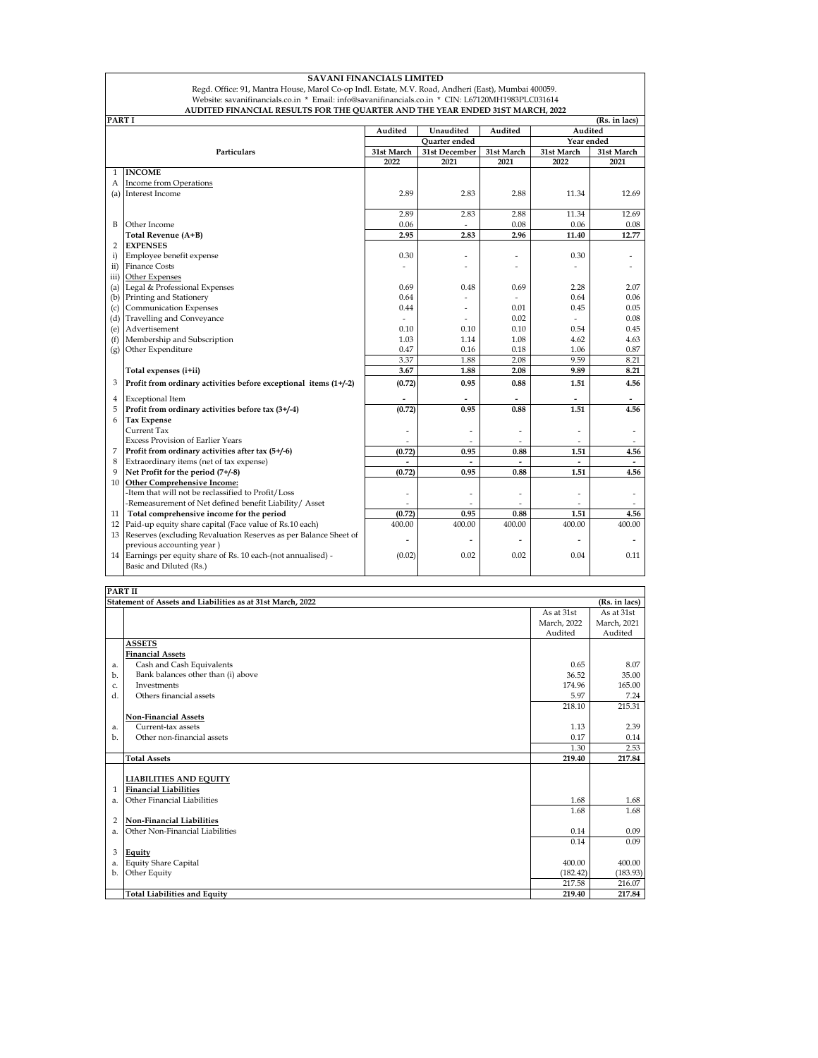| <b>SAVANI FINANCIALS LIMITED</b>                                                                    |                                                                                                                                                                                    |            |                          |                |                |                |  |  |  |  |
|-----------------------------------------------------------------------------------------------------|------------------------------------------------------------------------------------------------------------------------------------------------------------------------------------|------------|--------------------------|----------------|----------------|----------------|--|--|--|--|
| Regd. Office: 91, Mantra House, Marol Co-op Indl. Estate, M.V. Road, Andheri (East), Mumbai 400059. |                                                                                                                                                                                    |            |                          |                |                |                |  |  |  |  |
|                                                                                                     | Website: savanifinancials.co.in * Email: info@savanifinancials.co.in * CIN: L67120MH1983PLC031614<br>AUDITED FINANCIAL RESULTS FOR THE QUARTER AND THE YEAR ENDED 31ST MARCH, 2022 |            |                          |                |                |                |  |  |  |  |
| PART I                                                                                              |                                                                                                                                                                                    |            |                          |                |                | (Rs. in lacs)  |  |  |  |  |
|                                                                                                     |                                                                                                                                                                                    | Audited    | Unaudited                | Audited        | Audited        |                |  |  |  |  |
|                                                                                                     |                                                                                                                                                                                    |            | <b>Ouarter</b> ended     |                | Year ended     |                |  |  |  |  |
|                                                                                                     | Particulars                                                                                                                                                                        | 31st March | 31st December            | 31st March     | 31st March     | 31st March     |  |  |  |  |
|                                                                                                     |                                                                                                                                                                                    | 2022       | 2021                     | 2021           | 2022           | 2021           |  |  |  |  |
| 1                                                                                                   | <b>INCOME</b>                                                                                                                                                                      |            |                          |                |                |                |  |  |  |  |
| А                                                                                                   | <b>Income from Operations</b>                                                                                                                                                      |            |                          |                |                |                |  |  |  |  |
| (a)                                                                                                 | <b>Interest Income</b>                                                                                                                                                             | 2.89       | 2.83                     | 2.88           | 11.34          | 12.69          |  |  |  |  |
|                                                                                                     |                                                                                                                                                                                    | 2.89       | 2.83                     | 2.88           | 11.34          | 12.69          |  |  |  |  |
| B                                                                                                   | Other Income                                                                                                                                                                       | 0.06       |                          | 0.08           | 0.06           | 0.08           |  |  |  |  |
|                                                                                                     | Total Revenue (A+B)                                                                                                                                                                | 2.95       | 2.83                     | 2.96           | 11.40          | 12.77          |  |  |  |  |
| $\overline{2}$                                                                                      | <b>EXPENSES</b>                                                                                                                                                                    |            |                          |                |                |                |  |  |  |  |
| i)                                                                                                  | Employee benefit expense                                                                                                                                                           | 0.30       |                          |                | 0.30           | $\overline{a}$ |  |  |  |  |
| ii)                                                                                                 | <b>Finance Costs</b>                                                                                                                                                               |            |                          | L,             |                |                |  |  |  |  |
| iii)                                                                                                | Other Expenses                                                                                                                                                                     |            |                          |                |                |                |  |  |  |  |
| (a)                                                                                                 | Legal & Professional Expenses                                                                                                                                                      | 0.69       | 0.48                     | 0.69           | 2.28           | 2.07           |  |  |  |  |
| (b)                                                                                                 | Printing and Stationery                                                                                                                                                            | 0.64       |                          |                | 0.64           | 0.06           |  |  |  |  |
| (c)                                                                                                 | <b>Communication Expenses</b>                                                                                                                                                      | 0.44       | $\overline{\phantom{a}}$ | 0.01           | 0.45           | 0.05           |  |  |  |  |
| (d)                                                                                                 | Travelling and Conveyance                                                                                                                                                          |            |                          | 0.02           |                | 0.08           |  |  |  |  |
| (e)                                                                                                 | Advertisement                                                                                                                                                                      | 0.10       | 0.10                     | 0.10           | 0.54           | 0.45           |  |  |  |  |
| (f)                                                                                                 | Membership and Subscription                                                                                                                                                        | 1.03       | 1.14                     | 1.08           | 4.62           | 4.63           |  |  |  |  |
| (g)                                                                                                 | Other Expenditure                                                                                                                                                                  | 0.47       | 0.16                     | 0.18           | 1.06           | 0.87           |  |  |  |  |
|                                                                                                     |                                                                                                                                                                                    | 3.37       | 1.88                     | 2.08           | 9.59           | 8.21<br>8.21   |  |  |  |  |
|                                                                                                     | Total expenses (i+ii)                                                                                                                                                              | 3.67       | 1.88                     | 2.08           | 9.89           |                |  |  |  |  |
| 3                                                                                                   | Profit from ordinary activities before exceptional items (1+/-2)                                                                                                                   | (0.72)     | 0.95                     | 0.88           | 1.51           | 4.56           |  |  |  |  |
| 4                                                                                                   | <b>Exceptional Item</b>                                                                                                                                                            |            |                          |                |                |                |  |  |  |  |
| 5                                                                                                   | Profit from ordinary activities before tax (3+/-4)                                                                                                                                 | (0.72)     | 0.95                     | 0.88           | 1.51           | 4.56           |  |  |  |  |
| 6                                                                                                   | <b>Tax Expense</b>                                                                                                                                                                 |            |                          |                |                |                |  |  |  |  |
|                                                                                                     | Current Tax                                                                                                                                                                        |            | $\overline{a}$           | $\overline{a}$ |                |                |  |  |  |  |
|                                                                                                     | <b>Excess Provision of Earlier Years</b>                                                                                                                                           |            |                          |                |                |                |  |  |  |  |
| 7                                                                                                   | Profit from ordinary activities after tax (5+/-6)                                                                                                                                  | (0.72)     | 0.95                     | 0.88           | 1.51           | 4.56           |  |  |  |  |
| 8                                                                                                   | Extraordinary items (net of tax expense)                                                                                                                                           |            |                          |                | $\overline{a}$ |                |  |  |  |  |
| 9                                                                                                   | Net Profit for the period (7+/-8)                                                                                                                                                  | (0.72)     | 0.95                     | 0.88           | 1.51           | 4.56           |  |  |  |  |
| 10                                                                                                  | <b>Other Comprehensive Income:</b><br>-Item that will not be reclassified to Profit/Loss                                                                                           |            |                          |                |                |                |  |  |  |  |
|                                                                                                     | -Remeasurement of Net defined benefit Liability/ Asset                                                                                                                             |            |                          |                |                |                |  |  |  |  |
| 11                                                                                                  | Total comprehensive income for the period                                                                                                                                          | (0.72)     | 0.95                     | 0.88           | 1.51           | 4.56           |  |  |  |  |
| 12                                                                                                  | Paid-up equity share capital (Face value of Rs.10 each)                                                                                                                            | 400.00     | 400.00                   | 400.00         | 400.00         | 400.00         |  |  |  |  |
| 13                                                                                                  | Reserves (excluding Revaluation Reserves as per Balance Sheet of                                                                                                                   |            |                          |                |                |                |  |  |  |  |
|                                                                                                     | previous accounting year)                                                                                                                                                          |            | ٠                        | ٠              | ٠              |                |  |  |  |  |
| 14                                                                                                  | Earnings per equity share of Rs. 10 each-(not annualised) -                                                                                                                        | (0.02)     | 0.02                     | 0.02           | 0.04           | 0.11           |  |  |  |  |
|                                                                                                     | Basic and Diluted (Rs.)                                                                                                                                                            |            |                          |                |                |                |  |  |  |  |

 $\Gamma$ 

|                | <b>PART II</b>                                             |             |               |
|----------------|------------------------------------------------------------|-------------|---------------|
|                | Statement of Assets and Liabilities as at 31st March, 2022 |             | (Rs. in lacs) |
|                |                                                            | As at 31st  | As at 31st    |
|                |                                                            | March, 2022 | March, 2021   |
|                |                                                            | Audited     | Audited       |
|                | <b>ASSETS</b>                                              |             |               |
|                | <b>Financial Assets</b>                                    |             |               |
| a.             | Cash and Cash Equivalents                                  | 0.65        | 8.07          |
| b.             | Bank balances other than (i) above                         | 36.52       | 35.00         |
| c.             | <b>Investments</b>                                         | 174.96      | 165.00        |
| d.             | Others financial assets                                    | 5.97        | 7.24          |
|                |                                                            | 218.10      | 215.31        |
|                | <b>Non-Financial Assets</b>                                |             |               |
| a.             | Current-tax assets                                         | 1.13        | 2.39          |
| b.             | Other non-financial assets                                 | 0.17        | 0.14          |
|                |                                                            | 1.30        | 2.53          |
|                | <b>Total Assets</b>                                        | 219.40      | 217.84        |
|                |                                                            |             |               |
|                | <b>LIABILITIES AND EQUITY</b>                              |             |               |
| $\mathbf{1}$   | <b>Financial Liabilities</b>                               |             |               |
| a.             | Other Financial Liabilities                                | 1.68        | 1.68          |
|                |                                                            | 1.68        | 1.68          |
| $\overline{2}$ | <b>Non-Financial Liabilities</b>                           |             |               |
| a.             | Other Non-Financial Liabilities                            | 0.14        | 0.09          |
|                |                                                            | 0.14        | 0.09          |
| 3              | Equity                                                     |             |               |
| a.             | <b>Equity Share Capital</b>                                | 400.00      | 400.00        |
| $\mathbf{b}$ . | Other Equity                                               | (182.42)    | (183.93)      |
|                |                                                            | 217.58      | 216.07        |
|                | <b>Total Liabilities and Equity</b>                        | 219.40      | 217.84        |